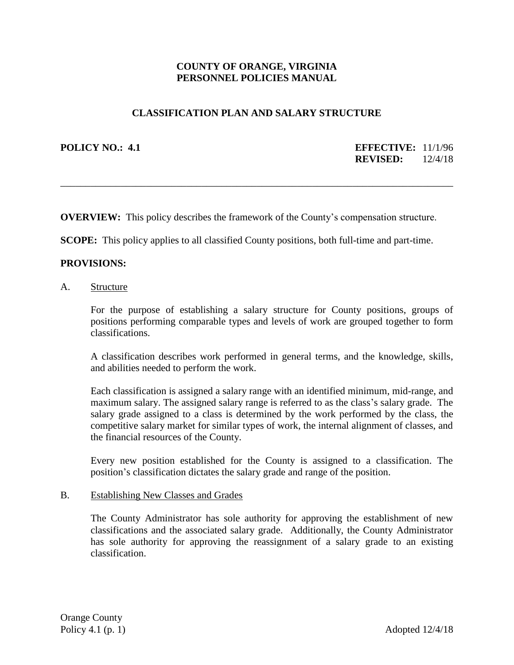# **COUNTY OF ORANGE, VIRGINIA PERSONNEL POLICIES MANUAL**

## **CLASSIFICATION PLAN AND SALARY STRUCTURE**

**POLICY NO.: 4.1 EFFECTIVE:** 11/1/96 **REVISED:** 12/4/18

**OVERVIEW:** This policy describes the framework of the County's compensation structure.

\_\_\_\_\_\_\_\_\_\_\_\_\_\_\_\_\_\_\_\_\_\_\_\_\_\_\_\_\_\_\_\_\_\_\_\_\_\_\_\_\_\_\_\_\_\_\_\_\_\_\_\_\_\_\_\_\_\_\_\_\_\_\_\_\_\_\_\_\_\_\_\_\_\_\_\_\_\_

**SCOPE:** This policy applies to all classified County positions, both full-time and part-time.

### **PROVISIONS:**

A. Structure

For the purpose of establishing a salary structure for County positions, groups of positions performing comparable types and levels of work are grouped together to form classifications.

A classification describes work performed in general terms, and the knowledge, skills, and abilities needed to perform the work.

Each classification is assigned a salary range with an identified minimum, mid-range, and maximum salary. The assigned salary range is referred to as the class's salary grade. The salary grade assigned to a class is determined by the work performed by the class, the competitive salary market for similar types of work, the internal alignment of classes, and the financial resources of the County.

Every new position established for the County is assigned to a classification. The position's classification dictates the salary grade and range of the position.

#### B. Establishing New Classes and Grades

The County Administrator has sole authority for approving the establishment of new classifications and the associated salary grade. Additionally, the County Administrator has sole authority for approving the reassignment of a salary grade to an existing classification.